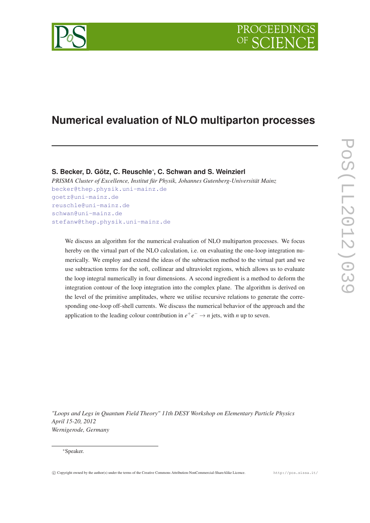# **Numerical evaluation of NLO multiparton processes**

## **S. Becker, D. Götz, C. Reuschle**<sup>∗</sup> **, C. Schwan and S. Weinzierl**

*PRISMA Cluster of Excellence, Institut für Physik, Johannes Gutenberg-Universität Mainz* [becker@thep.physik.uni-mainz.de](mailto:becker@thep.physik.uni-mainz.de{@@par }unhbox voidb@x ignorespaces  goetz@uni-mainz.de{@@par }unhbox voidb@x ignorespaces  reuschle@uni-mainz.de{@@par }unhbox voidb@x ignorespaces  schwan@uni-mainz.de{@@par }unhbox voidb@x ignorespaces  stefanw@thep.physik.uni-mainz.de) [goetz@uni-mainz.de](mailto:becker@thep.physik.uni-mainz.de{@@par }unhbox voidb@x ignorespaces  goetz@uni-mainz.de{@@par }unhbox voidb@x ignorespaces  reuschle@uni-mainz.de{@@par }unhbox voidb@x ignorespaces  schwan@uni-mainz.de{@@par }unhbox voidb@x ignorespaces  stefanw@thep.physik.uni-mainz.de) [reuschle@uni-mainz.de](mailto:becker@thep.physik.uni-mainz.de{@@par }unhbox voidb@x ignorespaces  goetz@uni-mainz.de{@@par }unhbox voidb@x ignorespaces  reuschle@uni-mainz.de{@@par }unhbox voidb@x ignorespaces  schwan@uni-mainz.de{@@par }unhbox voidb@x ignorespaces  stefanw@thep.physik.uni-mainz.de) [schwan@uni-mainz.de](mailto:becker@thep.physik.uni-mainz.de{@@par }unhbox voidb@x ignorespaces  goetz@uni-mainz.de{@@par }unhbox voidb@x ignorespaces  reuschle@uni-mainz.de{@@par }unhbox voidb@x ignorespaces  schwan@uni-mainz.de{@@par }unhbox voidb@x ignorespaces  stefanw@thep.physik.uni-mainz.de) [stefanw@thep.physik.uni-mainz.de](mailto:becker@thep.physik.uni-mainz.de{@@par }unhbox voidb@x ignorespaces  goetz@uni-mainz.de{@@par }unhbox voidb@x ignorespaces  reuschle@uni-mainz.de{@@par }unhbox voidb@x ignorespaces  schwan@uni-mainz.de{@@par }unhbox voidb@x ignorespaces  stefanw@thep.physik.uni-mainz.de)

We discuss an algorithm for the numerical evaluation of NLO multiparton processes. We focus hereby on the virtual part of the NLO calculation, i.e. on evaluating the one-loop integration numerically. We employ and extend the ideas of the subtraction method to the virtual part and we use subtraction terms for the soft, collinear and ultraviolet regions, which allows us to evaluate the loop integral numerically in four dimensions. A second ingredient is a method to deform the integration contour of the loop integration into the complex plane. The algorithm is derived on the level of the primitive amplitudes, where we utilise recursive relations to generate the corresponding one-loop off-shell currents. We discuss the numerical behavior of the approach and the application to the leading colour contribution in  $e^+e^- \to n$  jets, with *n* up to seven.

*"Loops and Legs in Quantum Field Theory" 11th DESY Workshop on Elementary Particle Physics April 15-20, 2012 Wernigerode, Germany*



<sup>∗</sup>Speaker.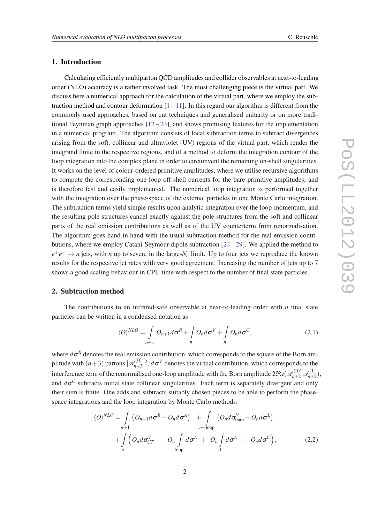## 1. Introduction

Calculating efficiently multiparton QCD amplitudes and collider observables at next-to-leading order (NLO) accuracy is a rather involved task. The most challenging piece is the virtual part. We discuss here a numerical approach for the calculation of the virtual part, where we employ the subtraction method and contour deformation  $[1 - 1]$  $[1 - 1]$ . In this regard our algorithm is different from the commonly used approaches, based on cut techniques and generalised unitarity or on more traditional Feynman graph approaches  $[12-23]$  $[12-23]$  $[12-23]$  $[12-23]$ , and shows promising features for the implementation in a numerical program. The algorithm consists of local subtraction terms to subtract divergences arising from the soft, collinear and ultraviolet (UV) regions of the virtual part, which render the integrand finite in the respective regions, and of a method to deform the integration contour of the loop integration into the complex plane in order to circumvent the remaining on-shell singularities. It works on the level of colour-ordered primitive amplitudes, where we utilise recursive algorithms to compute the corresponding one-loop off-shell currents for the bare primitive amplitudes, and is therefore fast and easily implemented. The numerical loop integration is performed together with the integration over the phase-space of the external particles in one Monte Carlo integration. The subtraction terms yield simple results upon analytic integration over the loop-momentum, and the resulting pole structures cancel exactly against the pole structures from the soft and collinear parts of the real emission contributions as well as of the UV counterterm from renormalisation. The algorithm goes hand in hand with the usual subtraction method for the real emission contributions, where we employ Catani-Seymour dipole subtraction [[24](#page-9-0) – [29](#page-9-0)]. We applied the method to  $e^+e^- \rightarrow n$  jets, with *n* up to seven, in the large- $N_c$  limit. Up to four jets we reproduce the known results for the respective jet rates with very good agreement. Increasing the number of jets up to 7 shows a good scaling behaviour in CPU time with respect to the number of final state particles.

### 2. Subtraction method

The contributions to an infrared-safe observable at next-to-leading order with  $n$  final state particles can be written in a condensed notation as

$$
\langle O \rangle^{NLO} = \int\limits_{n+1} O_{n+1} d\sigma^R + \int\limits_n O_n d\sigma^V + \int\limits_n O_n d\sigma^C, \tag{2.1}
$$

where  $d\sigma^R$  denotes the real emission contribution, which corresponds to the square of the Born amplitude with  $(n+3)$  partons  $|\mathcal{A}_{n+3}^{(0)}|$  $\mathcal{A}_{n+3}^{(0)}|^2$ ,  $d\sigma^V$  denotes the virtual contribution, which corresponds to the interference term of the renormalised one-loop amplitude with the Born amplitude  $2\Re(\mathscr{A}_{n+2}^{(0)^{*}}\mathscr{A}_{n+2}^{(1)})$  $\binom{11}{n+2}$ , and  $d\sigma^C$  subtracts initial state collinear singularities. Each term is separately divergent and only their sum is finite. One adds and subtracts suitably chosen pieces to be able to perform the phasespace integrations and the loop integration by Monte Carlo methods:

$$
\langle O \rangle^{NLO} = \int_{n+1} \left( O_{n+1} d\sigma^R - O_n d\sigma^A \right) + \int_{n+\text{loop}} \left( O_n d\sigma_{\text{bare}}^V - O_n d\sigma^L \right) + \int_{n} \left( O_n d\sigma_{\text{CT}}^V + O_n \int_{\text{loop}} d\sigma^L + O_n \int_{1} d\sigma^A + O_n d\sigma^C \right), \tag{2.2}
$$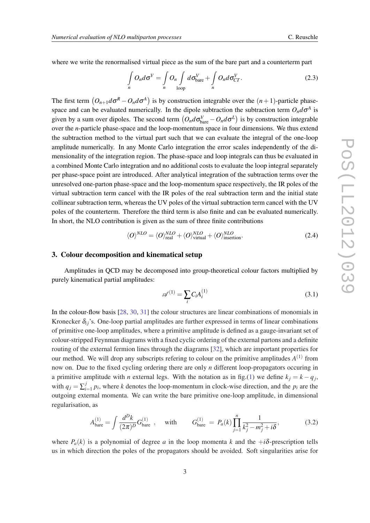where we write the renormalised virtual piece as the sum of the bare part and a counterterm part

$$
\int_{n} O_n d\sigma^V = \int_{n} O_n \int_{\text{loop}} d\sigma_{\text{bare}}^V + \int_{n} O_n d\sigma_{CT}^V.
$$
\n(2.3)

The first term  $(O_{n+1}d\sigma^R - O_n d\sigma^A)$  is by construction integrable over the  $(n+1)$ -particle phasespace and can be evaluated numerically. In the dipole subtraction the subtraction term  $O_n d\sigma^A$  is given by a sum over dipoles. The second term  $(O_n d \sigma_{bare}^V - O_n d \sigma^L)$  is by construction integrable over the *n*-particle phase-space and the loop-momentum space in four dimensions. We thus extend the subtraction method to the virtual part such that we can evaluate the integral of the one-loop amplitude numerically. In any Monte Carlo integration the error scales independently of the dimensionality of the integration region. The phase-space and loop integrals can thus be evaluated in a combined Monte Carlo integration and no additional costs to evaluate the loop integral separately per phase-space point are introduced. After analytical integration of the subtraction terms over the unresolved one-parton phase-space and the loop-momentum space respectively, the IR poles of the virtual subtraction term cancel with the IR poles of the real subtraction term and the initial state collinear subtraction term, whereas the UV poles of the virtual subtraction term cancel with the UV poles of the counterterm. Therefore the third term is also finite and can be evaluated numerically. In short, the NLO contribution is given as the sum of three finite contributions

$$
\langle O \rangle^{NLO} = \langle O \rangle_{\text{real}}^{NLO} + \langle O \rangle_{\text{virtual}}^{NLO} + \langle O \rangle_{\text{insertion}}^{NLO}.
$$
 (2.4)

#### 3. Colour decomposition and kinematical setup

Amplitudes in QCD may be decomposed into group-theoretical colour factors multiplied by purely kinematical partial amplitudes:

$$
\mathscr{A}^{(1)} = \sum_{i} C_i A_i^{(1)} \tag{3.1}
$$

In the colour-flow basis [[28,](#page-9-0) [30](#page-9-0), [31\]](#page-9-0) the colour structures are linear combinations of monomials in Kronecker  $\delta_{ij}$ 's. One-loop partial amplitudes are further expressed in terms of linear combinations of primitive one-loop amplitudes, where a primitive amplitude is defined as a gauge-invariant set of colour-stripped Feynman diagrams with a fixed cyclic ordering of the external partons and a definite routing of the external fermion lines through the diagrams [\[32](#page-9-0)], which are important properties for our method. We will drop any subscripts refering to colour on the primitive amplitudes  $A^{(1)}$  from now on. Due to the fixed cycling ordering there are only *n* different loop-propagators occuring in a primitive amplitude with *n* external legs. With the notation as in fig.([1](#page-3-0)) we define  $k_j = k - q_j$ , with  $q_j = \sum_{i=1}^j$  $\sum_{i=1}^{J} p_i$ , where *k* denotes the loop-momentum in clock-wise direction, and the  $p_i$  are the outgoing external momenta. We can write the bare primitive one-loop amplitude, in dimensional regularisation, as

$$
A_{\text{bare}}^{(1)} = \int \frac{d^D k}{(2\pi)^D} G_{\text{bare}}^{(1)} , \quad \text{with} \quad G_{\text{bare}}^{(1)} = P_a(k) \prod_{j=1}^n \frac{1}{k_j^2 - m_j^2 + i\delta}, \tag{3.2}
$$

where  $P_a(k)$  is a polynomial of degree *a* in the loop momenta *k* and the  $+i\delta$ -prescription tells us in which direction the poles of the propagators should be avoided. Soft singularities arise for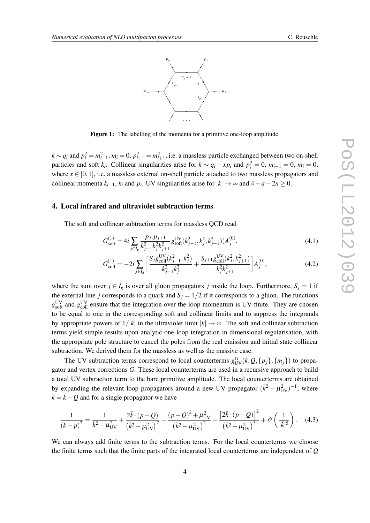<span id="page-3-0"></span>

Figure 1: The labelling of the momenta for a primitive one-loop amplitude.

 $k \sim q_i$  and  $p_i^2 = m_{i-1}^2$ ,  $m_i = 0$ ,  $p_{i+1}^2 = m_{i+1}^2$ , i.e. a massless particle exchanged between two on-shell particles and soft  $k_i$ . Collinear singularities arise for  $k \sim q_i - xp_i$  and  $p_i^2 = 0$ ,  $m_{i-1} = 0$ ,  $m_i = 0$ , where  $x \in [0,1]$ , i.e. a massless external on-shell particle attached to two massless propagators and collinear momenta  $k_{i-1}$ ,  $k_i$  and  $p_i$ . UV singularities arise for  $|k| \to \infty$  and  $4 + a - 2n \ge 0$ .

## 4. Local infrared and ultraviolet subtraction terms

The soft and collinear subtraction terms for massless QCD read

$$
G_{\text{soft}}^{(1)} = 4i \sum_{j \in I_g} \frac{p_j \cdot p_{j+1}}{k_{j-1}^2 k_j^2 k_{j+1}^2} g_{\text{soft}}^{\text{UV}}(k_{j-1}^2, k_j^2, k_{j+1}^2) A_j^{(0)},\tag{4.1}
$$

$$
G_{\text{coll}}^{(1)} = -2i \sum_{j \in I_g} \left[ \frac{S_j g_{\text{coll}}^{\text{UV}}(k_{j-1}^2, k_j^2)}{k_{j-1}^2 k_j^2} + \frac{S_{j+1} g_{\text{coll}}^{\text{UV}}(k_j^2, k_{j+1}^2)}{k_j^2 k_{j+1}^2} \right] A_j^{(0)},\tag{4.2}
$$

where the sum over  $j \in I_g$  is over all gluon propagators *j* inside the loop. Furthermore,  $S_j = 1$  if the external line *j* corresponds to a quark and  $S_j = 1/2$  if it corresponds to a gluon. The functions  $g_{\text{soft}}^{\text{UV}}$  and  $g_{\text{coll}}^{\text{UV}}$  ensure that the integration over the loop momentum is UV finite. They are chosen to be equal to one in the corresponding soft and collinear limits and to suppress the integrands by appropriate powers of  $1/|k|$  in the ultraviolet limit  $|k| \to \infty$ . The soft and collinear subtraction terms yield simple results upon analytic one-loop integration in dimensional regularisation, with the appropriate pole structure to cancel the poles from the real emission and initial state collinear subtraction. We derived them for the massless as well as the massive case.

The UV subtraction terms correspond to local counterterms  $g_{UV}^G(\bar{k}, Q, \{p_j\}, \{m_j\})$  to propagator and vertex corrections *G*. These local counterterms are used in a recursive approach to build a total UV subtraction term to the bare primitive amplitude. The local counterterms are obtained by expanding the relevant loop propagators around a new UV propagator  $(\bar{k}^2 - \mu_{UV}^2)^{-1}$ , where  $\bar{k} = k - Q$  and for a single propagator we have

$$
\frac{1}{(k-p)^2} = \frac{1}{\bar{k}^2 - \mu_{\text{UV}}^2} + \frac{2\bar{k} \cdot (p-Q)}{(\bar{k}^2 - \mu_{\text{UV}}^2)^2} - \frac{(p-Q)^2 + \mu_{\text{UV}}^2}{(\bar{k}^2 - \mu_{\text{UV}}^2)^2} + \frac{\left[2\bar{k} \cdot (p-Q)\right]^2}{(\bar{k}^2 - \mu_{\text{UV}}^2)^3} + \mathcal{O}\left(\frac{1}{|\bar{k}|^5}\right). \tag{4.3}
$$

We can always add finite terms to the subtraction terms. For the local counterterms we choose the finite terms such that the finite parts of the integrated local counterterms are independent of *Q*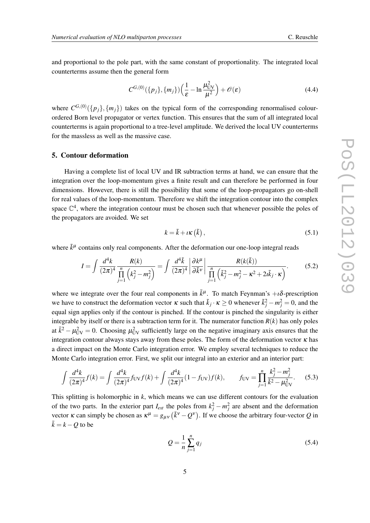<span id="page-4-0"></span>and proportional to the pole part, with the same constant of proportionality. The integrated local counterterms assume then the general form

$$
C^{G,(0)}(\lbrace p_j \rbrace, \lbrace m_j \rbrace)\left(\frac{1}{\varepsilon} - \ln \frac{\mu_{\text{UV}}^2}{\mu^2}\right) + \mathcal{O}(\varepsilon)
$$
\n(4.4)

where  $C^{G,(0)}(\{p_j\}, \{m_j\})$  takes on the typical form of the corresponding renormalised colourordered Born level propagator or vertex function. This ensures that the sum of all integrated local counterterms is again proportional to a tree-level amplitude. We derived the local UV counterterms for the massless as well as the massive case.

### 5. Contour deformation

Having a complete list of local UV and IR subtraction terms at hand, we can ensure that the integration over the loop-momentum gives a finite result and can therefore be performed in four dimensions. However, there is still the possibility that some of the loop-propagators go on-shell for real values of the loop-momentum. Therefore we shift the integration contour into the complex space  $\mathbb{C}^4$ , where the integration contour must be chosen such that whenever possible the poles of the propagators are avoided. We set

$$
k = \tilde{k} + \iota \kappa \left( \tilde{k} \right), \tag{5.1}
$$

where  $\tilde{k}^{\mu}$  contains only real components. After the deformation our one-loop integral reads

$$
I = \int \frac{d^4k}{(2\pi)^4} \frac{R(k)}{\prod\limits_{j=1}^n (k_j^2 - m_j^2)} = \int \frac{d^4\tilde{k}}{(2\pi)^4} \left| \frac{\partial k^\mu}{\partial \tilde{k}^\nu} \right| \frac{R(k(\tilde{k}))}{\prod\limits_{j=1}^n (\tilde{k}_j^2 - m_j^2 - \kappa^2 + 2\imath \tilde{k}_j \cdot \kappa)}.
$$
(5.2)

where we integrate over the four real components in  $\tilde{k}^{\mu}$ . To match Feynman's  $+i\delta$ -prescription we have to construct the deformation vector  $\kappa$  such that  $\tilde{k}_j \cdot \kappa \ge 0$  whenever  $\tilde{k}_j^2 - m_j^2 = 0$ , and the equal sign applies only if the contour is pinched. If the contour is pinched the singularity is either integrable by itself or there is a subtraction term for it. The numerator function  $R(k)$  has only poles at  $\bar{k}^2 - \mu_{UV}^2 = 0$ . Choosing  $\mu_{UV}^2$  sufficiently large on the negative imaginary axis ensures that the integration contour always stays away from these poles. The form of the deformation vector  $\kappa$  has a direct impact on the Monte Carlo integration error. We employ several techniques to reduce the Monte Carlo integration error. First, we split our integral into an exterior and an interior part:

$$
\int \frac{d^4k}{(2\pi)^4} f(k) = \int \frac{d^4k}{(2\pi)^4} f_{\rm UV} f(k) + \int \frac{d^4k}{(2\pi)^4} (1 - f_{\rm UV}) f(k), \qquad f_{\rm UV} = \prod_{j=1}^n \frac{k_j^2 - m_j^2}{\bar{k}^2 - \mu_{\rm UV}^2}.
$$
 (5.3)

This splitting is holomorphic in *k*, which means we can use different contours for the evaluation of the two parts. In the exterior part  $I_{ext}$  the poles from  $k_j^2 - m_j^2$  are absent and the deformation vector  $\kappa$  can simply be chosen as  $\kappa^{\mu} = g_{\mu\nu} (\tilde{k}^{\nu} - Q^{\nu})$ . If we choose the arbitrary four-vector *Q* in  $\bar{k} = k - Q$  to be

$$
Q = \frac{1}{n} \sum_{j=1}^{n} q_j
$$
 (5.4)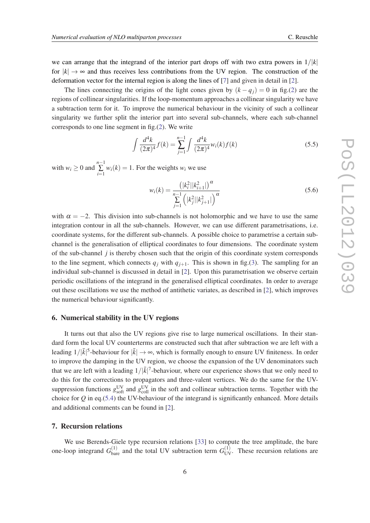we can arrange that the integrand of the interior part drops off with two extra powers in  $1/|k|$ for  $|k| \to \infty$  and thus receives less contributions from the UV region. The construction of the deformation vector for the internal region is along the lines of [\[7](#page-8-0)] and given in detail in [[2](#page-8-0)].

The lines connecting the origins of the light cones given by  $(k - q_i) = 0$  in fig.[\(2\)](#page-6-0) are the regions of collinear singularities. If the loop-momentum approaches a collinear singularity we have a subtraction term for it. To improve the numerical behaviour in the vicinity of such a collinear singularity we further split the interior part into several sub-channels, where each sub-channel corresponds to one line segment in fig.([2](#page-6-0)). We write

$$
\int \frac{d^4k}{(2\pi)^4} f(k) = \sum_{j=1}^{n-1} \int \frac{d^4k}{(2\pi)^4} w_i(k) f(k)
$$
\n(5.5)

with  $w_i \geq 0$  and  $\sum_{i=1}^{n-1}$  $\sum_{i=1}$  *w*<sub>*i*</sub>(*k*) = 1. For the weights *w<sub>i</sub>* we use

$$
w_i(k) = \frac{\left(|k_i^2||k_{i+1}^2|\right)^{\alpha}}{\sum_{j=1}^{n-1} \left(|k_j^2||k_{j+1}^2|\right)^{\alpha}}
$$
\n(5.6)

with  $\alpha = -2$ . This division into sub-channels is not holomorphic and we have to use the same integration contour in all the sub-channels. However, we can use different parametrisations, i.e. coordinate systems, for the different sub-channels. A possible choice to parametrise a certain subchannel is the generalisation of elliptical coordinates to four dimensions. The coordinate system of the sub-channel *j* is thereby chosen such that the origin of this coordinate system corresponds to the line segment, which connects  $q_j$  with  $q_{j+1}$ . This is shown in fig.[\(3\)](#page-6-0). The sampling for an individual sub-channel is discussed in detail in [[2](#page-8-0)]. Upon this parametrisation we observe certain periodic oscillations of the integrand in the generalised elliptical coordinates. In order to average out these oscillations we use the method of antithetic variates, as described in [[2](#page-8-0)], which improves the numerical behaviour significantly.

#### 6. Numerical stability in the UV regions

It turns out that also the UV regions give rise to large numerical oscillations. In their standard form the local UV counterterms are constructed such that after subtraction we are left with a leading  $1/|\bar{k}|^5$ -behaviour for  $|\bar{k}| \to \infty$ , which is formally enough to ensure UV finiteness. In order to improve the damping in the UV region, we choose the expansion of the UV denominators such that we are left with a leading  $1/|\bar{k}|^7$ -behaviour, where our experience shows that we only need to do this for the corrections to propagators and three-valent vertices. We do the same for the UVsuppression functions  $g_{\text{soft}}^{\text{UV}}$  and  $g_{\text{coll}}^{\text{UV}}$  in the soft and collinear subtraction terms. Together with the choice for *Q* in eq.[\(5.4\)](#page-4-0) the UV-behaviour of the integrand is significantly enhanced. More details and additional comments can be found in [[2](#page-8-0)].

#### 7. Recursion relations

We use Berends-Giele type recursion relations [[33\]](#page-9-0) to compute the tree amplitude, the bare one-loop integrand  $G_{\text{bare}}^{(1)}$  and the total UV subtraction term  $G_{\text{UV}}^{(1)}$ . These recursion relations are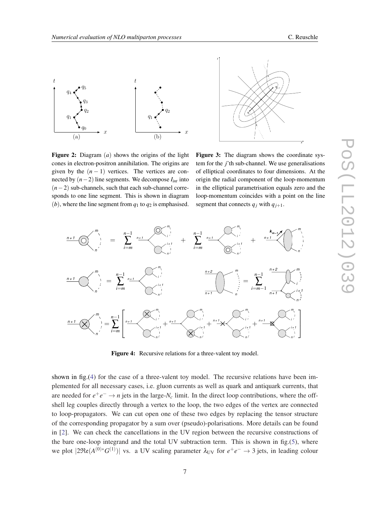<span id="page-6-0"></span>

Figure 2: Diagram (*a*) shows the origins of the light cones in electron-positron annihilation. The origins are given by the  $(n - 1)$  vertices. The vertices are connected by  $(n-2)$  line segments. We decompose  $I_{int}$  into (*n*−2) sub-channels, such that each sub-channel corresponds to one line segment. This is shown in diagram (*b*), where the line segment from  $q_1$  to  $q_2$  is emphasised.

x Figure 3: The diagram shows the coordinate system for the *j*'th sub-channel. We use generalisations of elliptical coordinates to four dimensions. At the origin the radial component of the loop-momentum in the elliptical parametrisation equals zero and the loop-momentum coincides with a point on the line segment that connects  $q_j$  with  $q_{j+1}$ .

 $q_{j+1}'$ 

qj

t



Figure 4: Recursive relations for a three-valent toy model.

shown in fig.(4) for the case of a three-valent toy model. The recursive relations have been implemented for all necessary cases, i.e. gluon currents as well as quark and antiquark currents, that are needed for  $e^+e^- \to n$  jets in the large- $N_c$  limit. In the direct loop contributions, where the offshell leg couples directly through a vertex to the loop, the two edges of the vertex are connected to loop-propagators. We can cut open one of these two edges by replacing the tensor structure of the corresponding propagator by a sum over (pseudo)-polarisations. More details can be found in [\[2\]](#page-8-0). We can check the cancellations in the UV region between the recursive constructions of the bare one-loop integrand and the total UV subtraction term. This is shown in fig.[\(5\)](#page-7-0), where we plot  $|2\Re(e(A^{(0)*}G^{(1)})|$  vs. a UV scaling parameter  $\lambda_{UV}$  for  $e^+e^- \to 3$  jets, in leading colour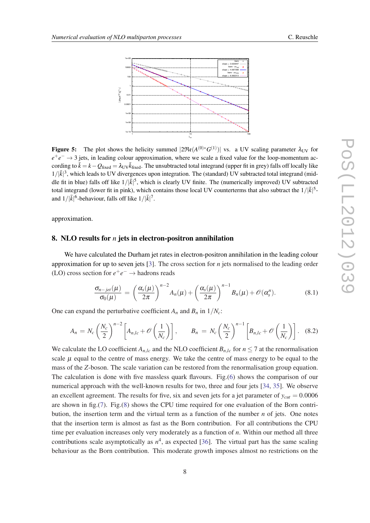<span id="page-7-0"></span>

Figure 5: The plot shows the helicity summed  $|2\Re(\mathcal{A}^{(0)*}G^{(1)})|$  vs. a UV scaling parameter  $\lambda_{UV}$  for *e*<sup>+</sup>*e*<sup>-</sup> → 3 jets, in leading colour approximation, where we scale a fixed value for the loop-momentum according to  $\bar{k} = k - Q_{\text{fixed}} = \lambda_{UV} \bar{k}_{\text{fixed}}$ . The unsubtracted total integrand (upper fit in grey) falls off locally like  $1/|\bar{k}|^3$ , which leads to UV divergences upon integration. The (standard) UV subtracted total integrand (middle fit in blue) falls off like  $1/|\bar{k}|^5$ , which is clearly UV finite. The (numerically improved) UV subtracted total integrand (lower fit in pink), which contains those local UV counterterms that also subtract the  $1/|\bar{k}|^5$ and  $1/|\bar{k}|^6$ -behaviour, falls off like  $1/|\bar{k}|^7$ .

approximation.

#### 8. NLO results for *n* jets in electron-positron annihilation

We have calculated the Durham jet rates in electron-positron annihilation in the leading colour approximation for up to seven jets [\[3\]](#page-8-0). The cross section for *n* jets normalised to the leading order (LO) cross section for  $e^+e^- \rightarrow$  hadrons reads

$$
\frac{\sigma_{n-jet}(\mu)}{\sigma_0(\mu)} = \left(\frac{\alpha_s(\mu)}{2\pi}\right)^{n-2} A_n(\mu) + \left(\frac{\alpha_s(\mu)}{2\pi}\right)^{n-1} B_n(\mu) + \mathcal{O}(\alpha_s^n). \tag{8.1}
$$

One can expand the perturbative coefficient  $A_n$  and  $B_n$  in  $1/N_c$ :

$$
A_n = N_c \left(\frac{N_c}{2}\right)^{n-2} \left[A_{n,lc} + \mathcal{O}\left(\frac{1}{N_c}\right)\right], \qquad B_n = N_c \left(\frac{N_c}{2}\right)^{n-1} \left[B_{n,lc} + \mathcal{O}\left(\frac{1}{N_c}\right)\right]. \tag{8.2}
$$

We calculate the LO coefficient  $A_{n,lc}$  and the NLO coefficient  $B_{n,lc}$  for  $n \leq 7$  at the renormalisation scale  $\mu$  equal to the centre of mass energy. We take the centre of mass energy to be equal to the mass of the *Z*-boson. The scale variation can be restored from the renormalisation group equation. The calculation is done with five massless quark flavours. Fig.[\(6\)](#page-8-0) shows the comparison of our numerical approach with the well-known results for two, three and four jets [[34,](#page-9-0) [35](#page-9-0)]. We observe an excellent agreement. The results for five, six and seven jets for a jet parameter of  $y_{cut} = 0.0006$ are shown in fig.[\(7\)](#page-8-0). Fig.[\(8\)](#page-8-0) shows the CPU time required for one evaluation of the Born contribution, the insertion term and the virtual term as a function of the number *n* of jets. One notes that the insertion term is almost as fast as the Born contribution. For all contributions the CPU time per evaluation increases only very moderately as a function of *n*. Within our method all three contributions scale asymptotically as  $n^4$ , as expected [\[36](#page-9-0)]. The virtual part has the same scaling behaviour as the Born contribution. This moderate growth imposes almost no restrictions on the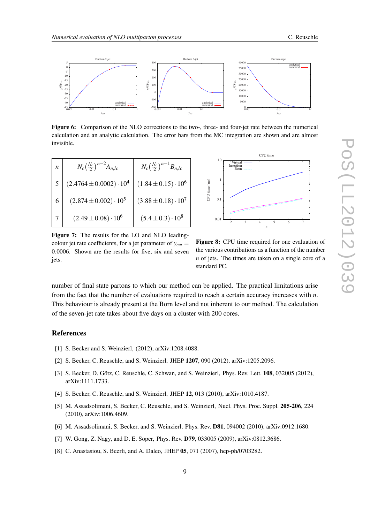

<span id="page-8-0"></span>

Figure 6: Comparison of the NLO corrections to the two-, three- and four-jet rate between the numerical calculation and an analytic calculation. The error bars from the MC integration are shown and are almost invisible.

| $\boldsymbol{n}$ | $N_c\left(\frac{N_c}{2}\right)^{n-2}A_{n,lc}$ | $N_c\left(\frac{N_c}{2}\right)^{n-1}B_{n,lc}$ |
|------------------|-----------------------------------------------|-----------------------------------------------|
|                  | $(2.4764 \pm 0.0002) \cdot 10^4$              | $(1.84 \pm 0.15) \cdot 10^6$                  |
| 6                | $(2.874 \pm 0.002) \cdot 10^5$                | $(3.88 \pm 0.18) \cdot 10^7$                  |
|                  | $(2.49 \pm 0.08) \cdot 10^6$                  | $(5.4 \pm 0.3) \cdot 10^8$                    |

Born Insertion Virtual CPU time *n* CPU time [ms] 2 3 4 5 6 7 10 1  $\overline{0}$ . 0.01

Figure 7: The results for the LO and NLO leadingcolour jet rate coefficients, for a jet parameter of  $y_{cut}$  = 0.0006. Shown are the results for five, six and seven jets.

Figure 8: CPU time required for one evaluation of the various contributions as a function of the number *n* of jets. The times are taken on a single core of a standard PC.

number of final state partons to which our method can be applied. The practical limitations arise from the fact that the number of evaluations required to reach a certain accuracy increases with *n*. This behaviour is already present at the Born level and not inherent to our method. The calculation of the seven-jet rate takes about five days on a cluster with 200 cores.

#### References

- [1] S. Becker and S. Weinzierl, (2012), arXiv:1208.4088.
- [2] S. Becker, C. Reuschle, and S. Weinzierl, JHEP 1207, 090 (2012), arXiv:1205.2096.
- [3] S. Becker, D. Götz, C. Reuschle, C. Schwan, and S. Weinzierl, Phys. Rev. Lett. **108**, 032005 (2012), arXiv:1111.1733.
- [4] S. Becker, C. Reuschle, and S. Weinzierl, JHEP 12, 013 (2010), arXiv:1010.4187.
- [5] M. Assadsolimani, S. Becker, C. Reuschle, and S. Weinzierl, Nucl. Phys. Proc. Suppl. 205-206, 224 (2010), arXiv:1006.4609.
- [6] M. Assadsolimani, S. Becker, and S. Weinzierl, Phys. Rev. D81, 094002 (2010), arXiv:0912.1680.
- [7] W. Gong, Z. Nagy, and D. E. Soper, Phys. Rev. D79, 033005 (2009), arXiv:0812.3686.
- [8] C. Anastasiou, S. Beerli, and A. Daleo, JHEP 05, 071 (2007), hep-ph/0703282.